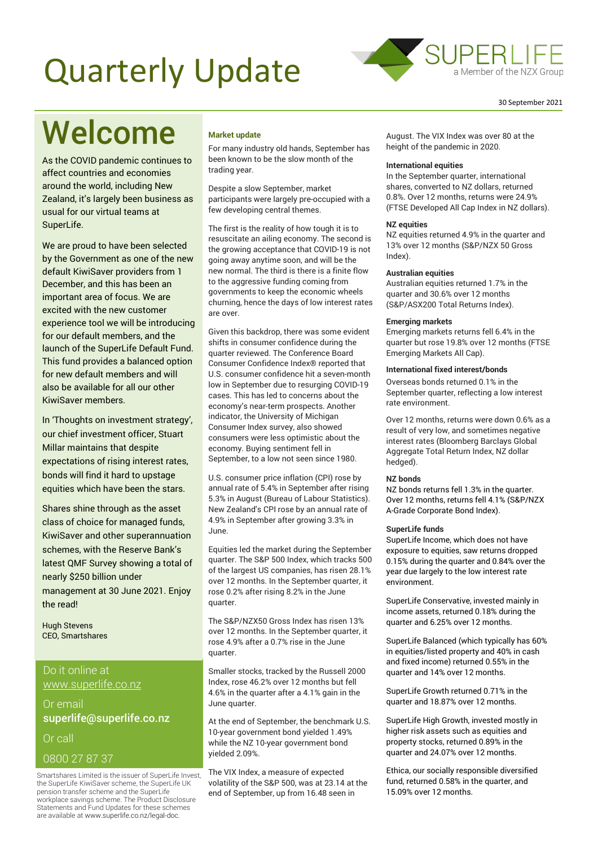# Quarterly Update



## Welcome

As the COVID pandemic continues to affect countries and economies around the world, including New Zealand, it's largely been business as usual for our virtual teams at SuperLife.

We are proud to have been selected by the Government as one of the new default KiwiSaver providers from 1 December, and this has been an important area of focus. We are excited with the new customer experience tool we will be introducing for our default members, and the launch of the SuperLife Default Fund. This fund provides a balanced option for new default members and will also be available for all our other KiwiSaver members.

In 'Thoughts on investment strategy', our chief investment officer, Stuart Millar maintains that despite expectations of rising interest rates, bonds will find it hard to upstage equities which have been the stars.

Shares shine through as the asset class of choice for managed funds, KiwiSaver and other superannuation schemes, with the Reserve Bank's latest QMF Survey showing a total of nearly \$250 billion under management at 30 June 2021. Enjoy the read!

Hugh Stevens CEO, Smartshares

#### Do it online at [www.superlife.co.nz](http://www.superlife.co.nz/)

Or email [superlife@superlife.co.nz](mailto:superlife@superlife.co.nz) Or call

0800 27 87 37

Smartshares Limited is the issuer of SuperLife Invest, the SuperLife KiwiSaver scheme, the SuperLife UK pension transfer scheme and the SuperLife workplace savings scheme. The Product Disclosure Statements and Fund Updates for these schemes are available at www.superlife.co.nz/legal-doc.

#### **Market update**

For many industry old hands, September has been known to be the slow month of the trading year.

Despite a slow September, market participants were largely pre-occupied with a few developing central themes.

The first is the reality of how tough it is to resuscitate an ailing economy. The second is the growing acceptance that COVID-19 is not going away anytime soon, and will be the new normal. The third is there is a finite flow to the aggressive funding coming from governments to keep the economic wheels churning, hence the days of low interest rates are over.

Given this backdrop, there was some evident shifts in consumer confidence during the quarter reviewed. The Conference Board Consumer Confidence Index® reported that U.S. consumer confidence hit a seven-month low in September due to resurging COVID-19 cases. This has led to concerns about the economy's near-term prospects. Another indicator, the University of Michigan Consumer Index survey, also showed consumers were less optimistic about the economy. Buying sentiment fell in September, to a low not seen since 1980.

U.S. consumer price inflation (CPI) rose by annual rate of 5.4% in September after rising 5.3% in August (Bureau of Labour Statistics). New Zealand's CPI rose by an annual rate of 4.9% in September after growing 3.3% in June.

Equities led the market during the September quarter. The S&P 500 Index, which tracks 500 of the largest US companies, has risen 28.1% over 12 months. In the September quarter, it rose 0.2% after rising 8.2% in the June quarter.

The S&P/NZX50 Gross Index has risen 13% over 12 months. In the September quarter, it rose 4.9% after a 0.7% rise in the June quarter.

Smaller stocks, tracked by the Russell 2000 Index, rose 46.2% over 12 months but fell 4.6% in the quarter after a 4.1% gain in the June quarter.

At the end of September, the benchmark U.S. 10-year government bond yielded 1.49% while the NZ 10-year government bond yielded 2.09%.

The VIX Index, a measure of expected volatility of the S&P 500, was at 23.14 at the end of September, up from 16.48 seen in

August. The VIX Index was over 80 at the height of the pandemic in 2020.

#### **International equities**

In the September quarter, international shares, converted to NZ dollars, returned 0.8%. Over 12 months, returns were 24.9% (FTSE Developed All Cap Index in NZ dollars).

#### **NZ equities**

NZ equities returned 4.9% in the quarter and 13% over 12 months (S&P/NZX 50 Gross Index).

#### **Australian equities**

Australian equities returned 1.7% in the quarter and 30.6% over 12 months (S&P/ASX200 Total Returns Index).

#### **Emerging markets**

Emerging markets returns fell 6.4% in the quarter but rose 19.8% over 12 months (FTSE Emerging Markets All Cap).

#### **International fixed interest/bonds**

Overseas bonds returned 0.1% in the September quarter, reflecting a low interest rate environment.

Over 12 months, returns were down 0.6% as a result of very low, and sometimes negative interest rates (Bloomberg Barclays Global Aggregate Total Return Index, NZ dollar hedged).

#### **NZ bonds**

NZ bonds returns fell 1.3% in the quarter. Over 12 months, returns fell 4.1% (S&P/NZX A-Grade Corporate Bond Index).

#### **SuperLife funds**

SuperLife Income, which does not have exposure to equities, saw returns dropped 0.15% during the quarter and 0.84% over the year due largely to the low interest rate environment.

SuperLife Conservative, invested mainly in income assets, returned 0.18% during the quarter and 6.25% over 12 months.

SuperLife Balanced (which typically has 60% in equities/listed property and 40% in cash and fixed income) returned 0.55% in the quarter and 14% over 12 months.

SuperLife Growth returned 0.71% in the quarter and 18.87% over 12 months.

SuperLife High Growth, invested mostly in higher risk assets such as equities and property stocks, returned 0.89% in the quarter and 24.07% over 12 months.

Ethica, our socially responsible diversified fund, returned 0.58% in the quarter, and 15.09% over 12 months.